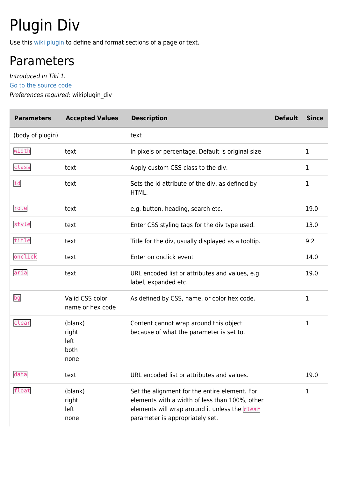# Plugin Div

Use this [wiki plugin](https://doc.tiki.org/wiki%20plugin) to define and format sections of a page or text.

### Parameters

Introduced in Tiki 1. [Go to the source code](https://gitlab.com/tikiwiki/tiki/-/blob/master/lib/wiki-plugins/wikiplugin_div.php) Preferences required: wikiplugin\_div

| <b>Parameters</b> | <b>Accepted Values</b>                   | <b>Description</b>                                                                                                                                                                  | <b>Default</b> | <b>Since</b> |
|-------------------|------------------------------------------|-------------------------------------------------------------------------------------------------------------------------------------------------------------------------------------|----------------|--------------|
| (body of plugin)  |                                          | text                                                                                                                                                                                |                |              |
| width             | text                                     | In pixels or percentage. Default is original size                                                                                                                                   |                | 1            |
| class             | text                                     | Apply custom CSS class to the div.                                                                                                                                                  |                | 1            |
| id                | text                                     | Sets the id attribute of the div, as defined by<br>HTML.                                                                                                                            |                | 1            |
| role              | text                                     | e.g. button, heading, search etc.                                                                                                                                                   |                | 19.0         |
| style             | text                                     | Enter CSS styling tags for the div type used.                                                                                                                                       |                | 13.0         |
| title             | text                                     | Title for the div, usually displayed as a tooltip.                                                                                                                                  |                | 9.2          |
| onclick           | text                                     | Enter on onclick event                                                                                                                                                              |                | 14.0         |
| aria              | text                                     | URL encoded list or attributes and values, e.g.<br>label, expanded etc.                                                                                                             |                | 19.0         |
| bg                | Valid CSS color<br>name or hex code      | As defined by CSS, name, or color hex code.                                                                                                                                         |                | 1            |
| clear             | (blank)<br>right<br>left<br>both<br>none | Content cannot wrap around this object<br>because of what the parameter is set to.                                                                                                  |                | 1            |
| data              | text                                     | URL encoded list or attributes and values.                                                                                                                                          |                | 19.0         |
| float             | (blank)<br>right<br>left<br>none         | Set the alignment for the entire element. For<br>elements with a width of less than 100%, other<br>elements will wrap around it unless the clear<br>parameter is appropriately set. |                | 1            |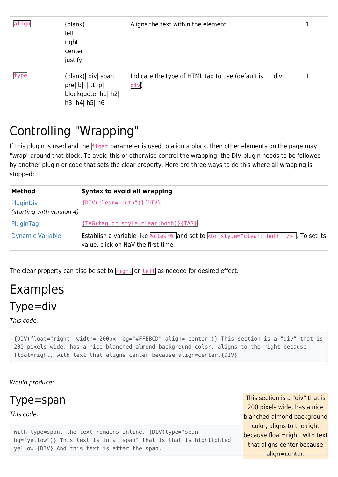| align | (blank)<br>left<br>right<br>center<br>justify                                  | Aligns the text within the element                       |     |  |
|-------|--------------------------------------------------------------------------------|----------------------------------------------------------|-----|--|
| type  | (blank) div span<br>pre  b  i  tt  p <br>blockquote  h1  h2 <br>h3  h4  h5  h6 | Indicate the type of HTML tag to use (default is<br>div) | div |  |

### Controlling "Wrapping"

If this plugin is used and the  $fload$  parameter is used to align a block, then other elements on the page may "wrap" around that block. To avoid this or otherwise control the wrapping, the DIV plugin needs to be followed by another plugin or code that sets the clear property. Here are three ways to do this where all wrapping is stopped:

| Method                                 | Syntax to avoid all wrapping                                                                                                                                   |
|----------------------------------------|----------------------------------------------------------------------------------------------------------------------------------------------------------------|
| PluginDiv<br>(starting with version 4) | {DIV(clear="both")}{DIV}                                                                                                                                       |
| PluginTag                              | {TAG(tag=br style=clear:both)}{TAG}                                                                                                                            |
| Dynamic Variable                       | Establish a variable like $\frac{1}{2}$ clear <sup>8</sup> and set to $\frac{1}{2}$ style="clear: both" /> . To set its<br>value, click on NaV the first time. |

The clear property can also be set to  $right$  or  $left$  as needed for desired effect.

### Examples Type=div

This code,

{DIV(float="right" width="200px" bg="#FFEBCD" align="center")} This section is a "div" that is 200 pixels wide, has a nice blanched almond background color, aligns to the right because float=right, with text that aligns center because align=center.{DIV}

Would produce:

Type=span

This code,

This section is a "div" that is 200 pixels wide, has a nice blanched almond background color, aligns to the right because float=right, with text that aligns center because align=center.

With type=span, the text remains inline. {DIV(type="span" bg="yellow")} This text is in a "span" that is that is highlighted yellow.{DIV} And this text is after the span.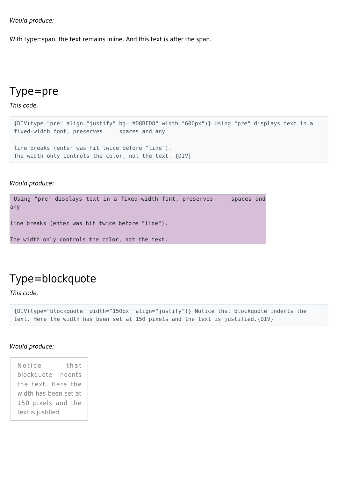Would produce:

With type=span, the text remains inline. And this text is after the span.

#### Type=pre

This code,

```
{DIV(type="pre" align="justify" bg="#D8BFD8" width="600px")} Using "pre" displays text in a
fixed-width font, preserves spaces and any
line breaks (enter was hit twice before "line").
The width only controls the color, not the text. {DIV}
```
Would produce:

```
Using "pre" displays text in a fixed-width font, preserves spaces and
any
line breaks (enter was hit twice before "line").
The width only controls the color, not the text.
```
### Type=blockquote

This code,

```
{DIV(type="blockquote" width="150px" align="justify")} Notice that blockquote indents the
text. Here the width has been set at 150 pixels and the text is justified.{DIV}
```
#### Would produce:

Notice that blockquote indents the text. Here the width has been set at 150 pixels and the text is justified.